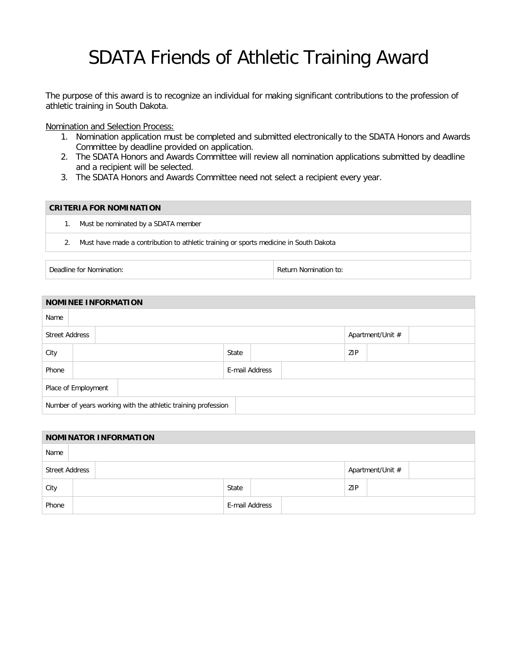## SDATA Friends of Athletic Training Award

The purpose of this award is to recognize an individual for making significant contributions to the profession of athletic training in South Dakota.

Nomination and Selection Process:

- 1. Nomination application must be completed and submitted electronically to the SDATA Honors and Awards Committee by deadline provided on application.
- 2. The SDATA Honors and Awards Committee will review all nomination applications submitted by deadline and a recipient will be selected.
- 3. The SDATA Honors and Awards Committee need not select a recipient every year.

## **CRITERIA FOR NOMINATION**

- 1. Must be nominated by a SDATA member
- 2. Must have made a contribution to athletic training or sports medicine in South Dakota

Deadline for Nomination: The Contraction of the Contraction of the Return Nomination to:

| <b>NOMINEE INFORMATION</b>                                    |  |  |  |                |  |  |     |                  |  |  |  |  |  |
|---------------------------------------------------------------|--|--|--|----------------|--|--|-----|------------------|--|--|--|--|--|
| Name                                                          |  |  |  |                |  |  |     |                  |  |  |  |  |  |
| <b>Street Address</b>                                         |  |  |  |                |  |  |     | Apartment/Unit # |  |  |  |  |  |
| City                                                          |  |  |  | State          |  |  | ZIP |                  |  |  |  |  |  |
| Phone                                                         |  |  |  | E-mail Address |  |  |     |                  |  |  |  |  |  |
| Place of Employment                                           |  |  |  |                |  |  |     |                  |  |  |  |  |  |
| Number of years working with the athletic training profession |  |  |  |                |  |  |     |                  |  |  |  |  |  |

| <b>NOMINATOR INFORMATION</b> |  |                |       |  |  |                  |  |  |  |  |  |
|------------------------------|--|----------------|-------|--|--|------------------|--|--|--|--|--|
| Name                         |  |                |       |  |  |                  |  |  |  |  |  |
| <b>Street Address</b>        |  |                |       |  |  | Apartment/Unit # |  |  |  |  |  |
| City                         |  |                | State |  |  | ZIP              |  |  |  |  |  |
| Phone                        |  | E-mail Address |       |  |  |                  |  |  |  |  |  |